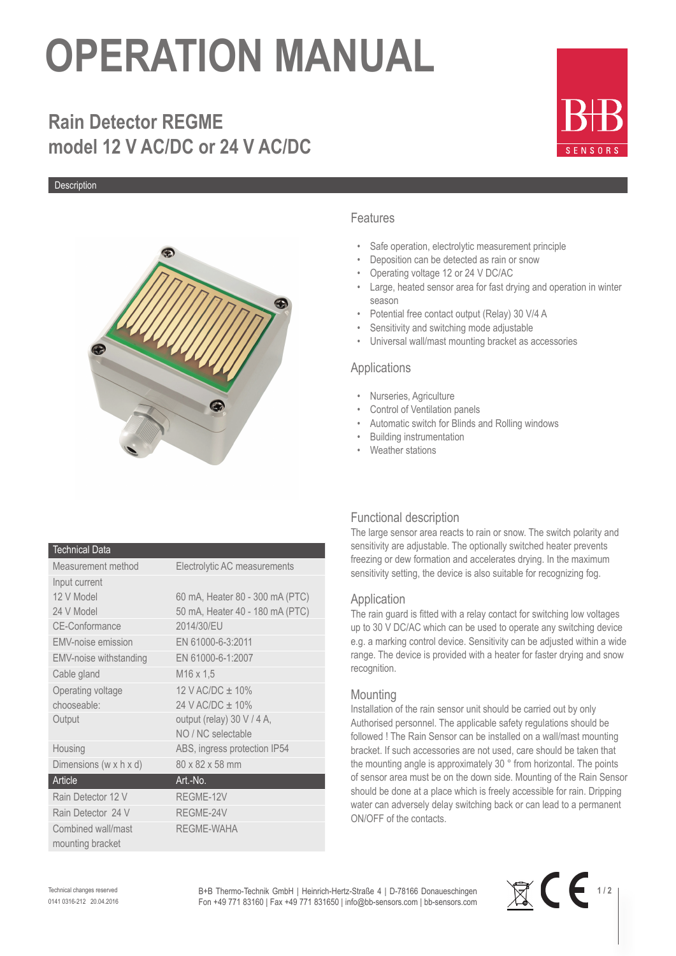# **OPERATION MANUAL**

# **Rain Detector REGME model 12 V AC/DC or 24 V AC/DC**

Description



#### Technical Data

| Measurement method                     | Electrolytic AC measurements    |
|----------------------------------------|---------------------------------|
| Input current                          |                                 |
| 12 V Model                             | 60 mA, Heater 80 - 300 mA (PTC) |
| 24 V Model                             | 50 mA, Heater 40 - 180 mA (PTC) |
| <b>CE-Conformance</b>                  | 2014/30/EU                      |
| EMV-noise emission                     | EN 61000-6-3:2011               |
| <b>EMV-noise withstanding</b>          | EN 61000-6-1:2007               |
| Cable gland                            | M <sub>16</sub> x 1.5           |
| Operating voltage                      | 12 V AC/DC $\pm$ 10%            |
| chooseable:                            | 24 V AC/DC ± 10%                |
| Output                                 | output (relay) 30 V / 4 A,      |
|                                        | NO / NC selectable              |
| Housing                                | ABS, ingress protection IP54    |
| Dimensions (w x h x d)                 | 80 x 82 x 58 mm                 |
| Article                                | Art.-No.                        |
| Rain Detector 12 V                     | REGME-12V                       |
| Rain Detector 24 V                     | REGME-24V                       |
| Combined wall/mast<br>mounting bracket | <b>REGME-WAHA</b>               |

### Features

- Safe operation, electrolytic measurement principle
- Deposition can be detected as rain or snow
- Operating voltage 12 or 24 V DC/AC
- Large, heated sensor area for fast drying and operation in winter season
- Potential free contact output (Relay) 30 V/4 A
- Sensitivity and switching mode adjustable
- Universal wall/mast mounting bracket as accessories

### Applications

- Nurseries, Agriculture
- Control of Ventilation panels
- Automatic switch for Blinds and Rolling windows
- Building instrumentation
- Weather stations

# Functional description

The large sensor area reacts to rain or snow. The switch polarity and sensitivity are adjustable. The optionally switched heater prevents freezing or dew formation and accelerates drying. In the maximum sensitivity setting, the device is also suitable for recognizing fog.

#### Application

The rain guard is fitted with a relay contact for switching low voltages up to 30 V DC/AC which can be used to operate any switching device e.g. a marking control device. Sensitivity can be adjusted within a wide range. The device is provided with a heater for faster drying and snow recognition.

# **Mounting**

Installation of the rain sensor unit should be carried out by only Authorised personnel. The applicable safety regulations should be followed ! The Rain Sensor can be installed on a wall/mast mounting bracket. If such accessories are not used, care should be taken that the mounting angle is approximately 30 ° from horizontal. The points of sensor area must be on the down side. Mounting of the Rain Sensor should be done at a place which is freely accessible for rain. Dripping water can adversely delay switching back or can lead to a permanent ON/OFF of the contacts.

Technical changes reserved 0141 0316-212 20.04.2016 B+B Thermo-Technik GmbH | Heinrich-Hertz-Straße 4 | D-78166 Donaueschingen Fon +49 771 83160 | Fax +49 771 831650 | info@bb-sensors.com | bb-sensors.com